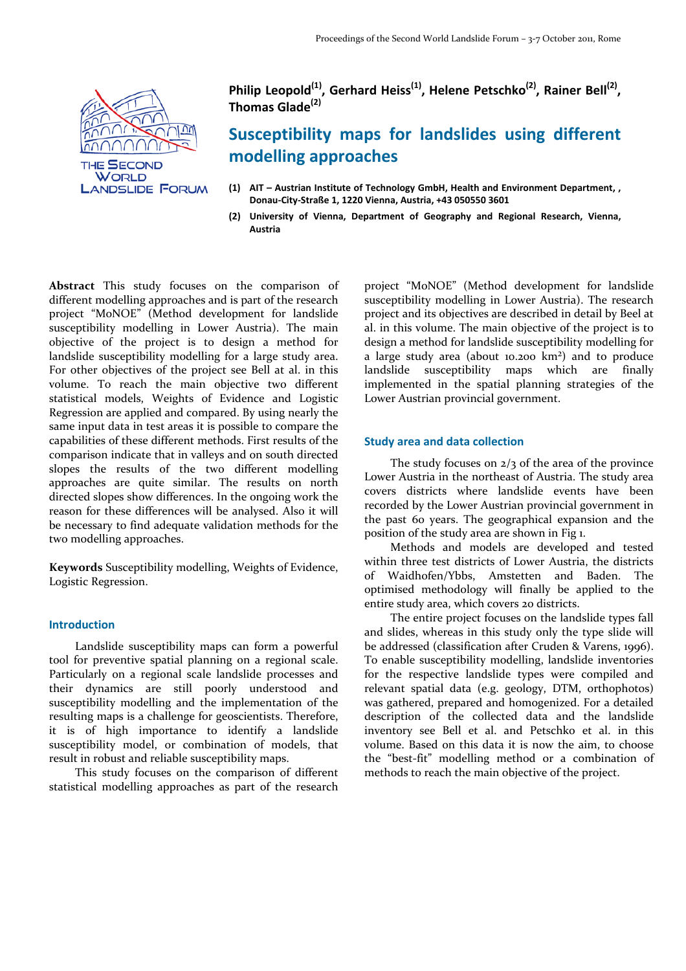

**Philip Leopold(1), Gerhard Heiss(1), Helene Petschko(2), Rainer Bell(2), Thomas Glade(2)**

# **Susceptibility maps for landslides using different modelling approaches**

- **(1) AIT – Austrian Institute of Technology GmbH, Health and Environment Department, , Donau‐City‐Straße 1, 1220 Vienna, Austria, +43 050550 3601**
- **(2) University of Vienna, Department of Geography and Regional Research, Vienna, Austria**

**Abstract** This study focuses on the comparison of different modelling approaches and is part of the research project "MoNOE" (Method development for landslide susceptibility modelling in Lower Austria). The main objective of the project is to design a method for landslide susceptibility modelling for a large study area. For other objectives of the project see Bell at al. in this volume. To reach the main objective two different statistical models, Weights of Evidence and Logistic Regression are applied and compared. By using nearly the same input data in test areas it is possible to compare the capabilities of these different methods. First results of the comparison indicate that in valleys and on south directed slopes the results of the two different modelling approaches are quite similar. The results on north directed slopes show differences. In the ongoing work the reason for these differences will be analysed. Also it will be necessary to find adequate validation methods for the two modelling approaches.

**Keywords** Susceptibility modelling, Weights of Evidence, Logistic Regression.

## **Introduction**

Landslide susceptibility maps can form a powerful tool for preventive spatial planning on a regional scale. Particularly on a regional scale landslide processes and their dynamics are still poorly understood and susceptibility modelling and the implementation of the resulting maps is a challenge for geoscientists. Therefore, it is of high importance to identify a landslide susceptibility model, or combination of models, that result in robust and reliable susceptibility maps.

This study focuses on the comparison of different statistical modelling approaches as part of the research

project "MoNOE" (Method development for landslide susceptibility modelling in Lower Austria). The research project and its objectives are described in detail by Beel at al. in this volume. The main objective of the project is to design a method for landslide susceptibility modelling for a large study area (about 10.200 km²) and to produce landslide susceptibility maps which are finally implemented in the spatial planning strategies of the Lower Austrian provincial government.

#### **Study area and data collection**

The study focuses on  $2/3$  of the area of the province Lower Austria in the northeast of Austria. The study area covers districts where landslide events have been recorded by the Lower Austrian provincial government in the past 60 years. The geographical expansion and the position of the study area are shown in Fig 1.

Methods and models are developed and tested within three test districts of Lower Austria, the districts of Waidhofen/Ybbs, Amstetten and Baden. The optimised methodology will finally be applied to the entire study area, which covers 20 districts.

The entire project focuses on the landslide types fall and slides, whereas in this study only the type slide will be addressed (classification after Cruden & Varens, 1996). To enable susceptibility modelling, landslide inventories for the respective landslide types were compiled and relevant spatial data (e.g. geology, DTM, orthophotos) was gathered, prepared and homogenized. For a detailed description of the collected data and the landslide inventory see Bell et al. and Petschko et al. in this volume. Based on this data it is now the aim, to choose the "best‐fit" modelling method or a combination of methods to reach the main objective of the project.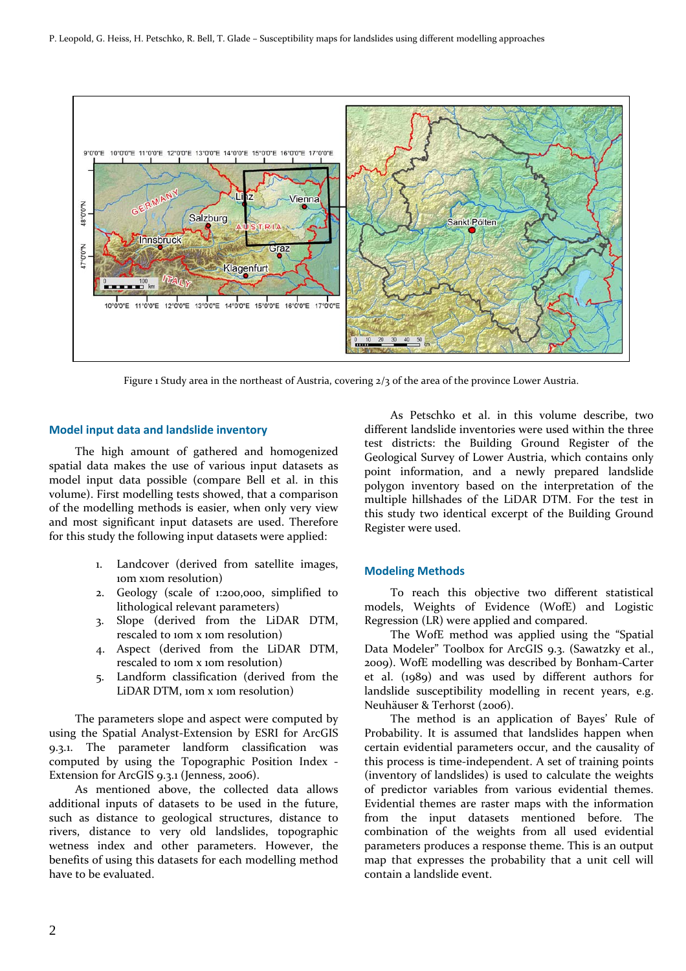

Figure 1 Study area in the northeast of Austria, covering 2/3 of the area of the province Lower Austria.

# **Model input data and landslide inventory**

The high amount of gathered and homogenized spatial data makes the use of various input datasets as model input data possible (compare Bell et al. in this volume). First modelling tests showed, that a comparison of the modelling methods is easier, when only very view and most significant input datasets are used. Therefore for this study the following input datasets were applied:

- 1. Landcover (derived from satellite images, 10m x10m resolution)
- 2. Geology (scale of 1:200,000, simplified to lithological relevant parameters)
- 3. Slope (derived from the LiDAR DTM, rescaled to 10m x 10m resolution)
- 4. Aspect (derived from the LiDAR DTM, rescaled to 10m x 10m resolution)
- 5. Landform classification (derived from the LiDAR DTM, 10m x 10m resolution)

The parameters slope and aspect were computed by using the Spatial Analyst‐Extension by ESRI for ArcGIS 9.3.1. The parameter landform classification was computed by using the Topographic Position Index ‐ Extension for ArcGIS 9.3.1 (Jenness, 2006).

As mentioned above, the collected data allows additional inputs of datasets to be used in the future, such as distance to geological structures, distance to rivers, distance to very old landslides, topographic wetness index and other parameters. However, the benefits of using this datasets for each modelling method have to be evaluated.

As Petschko et al. in this volume describe, two different landslide inventories were used within the three test districts: the Building Ground Register of the Geological Survey of Lower Austria, which contains only point information, and a newly prepared landslide polygon inventory based on the interpretation of the multiple hillshades of the LiDAR DTM. For the test in this study two identical excerpt of the Building Ground Register were used.

# **Modeling Methods**

To reach this objective two different statistical models, Weights of Evidence (WofE) and Logistic Regression (LR) were applied and compared.

The WofE method was applied using the "Spatial Data Modeler" Toolbox for ArcGIS 9.3. (Sawatzky et al., 2009). WofE modelling was described by Bonham‐Carter et al. (1989) and was used by different authors for landslide susceptibility modelling in recent years, e.g. Neuhäuser & Terhorst (2006).

The method is an application of Bayes' Rule of Probability. It is assumed that landslides happen when certain evidential parameters occur, and the causality of this process is time‐independent. A set of training points (inventory of landslides) is used to calculate the weights of predictor variables from various evidential themes. Evidential themes are raster maps with the information from the input datasets mentioned before. The combination of the weights from all used evidential parameters produces a response theme. This is an output map that expresses the probability that a unit cell will contain a landslide event.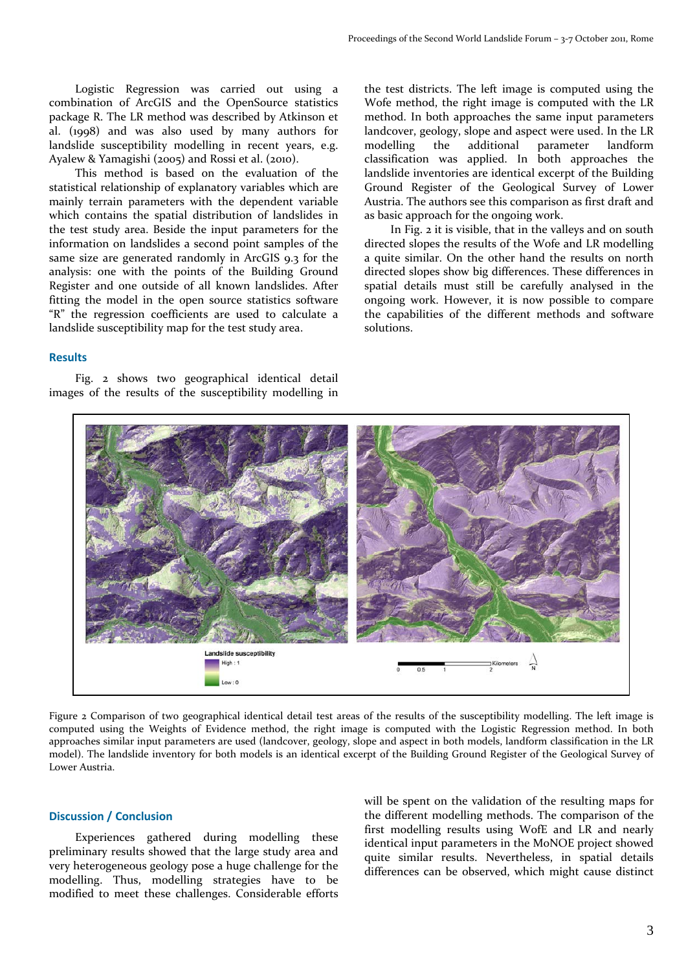Logistic Regression was carried out using a combination of ArcGIS and the OpenSource statistics package R. The LR method was described by Atkinson et al. (1998) and was also used by many authors for landslide susceptibility modelling in recent years, e.g. Ayalew & Yamagishi (2005) and Rossi et al. (2010).

This method is based on the evaluation of the statistical relationship of explanatory variables which are mainly terrain parameters with the dependent variable which contains the spatial distribution of landslides in the test study area. Beside the input parameters for the information on landslides a second point samples of the same size are generated randomly in ArcGIS 9.3 for the analysis: one with the points of the Building Ground Register and one outside of all known landslides. After fitting the model in the open source statistics software "R" the regression coefficients are used to calculate a landslide susceptibility map for the test study area.

#### **Results**

Fig. 2 shows two geographical identical detail images of the results of the susceptibility modelling in the test districts. The left image is computed using the Wofe method, the right image is computed with the LR method. In both approaches the same input parameters landcover, geology, slope and aspect were used. In the LR modelling the additional parameter landform classification was applied. In both approaches the landslide inventories are identical excerpt of the Building Ground Register of the Geological Survey of Lower Austria. The authors see this comparison as first draft and as basic approach for the ongoing work.

In Fig. 2 it is visible, that in the valleys and on south directed slopes the results of the Wofe and LR modelling a quite similar. On the other hand the results on north directed slopes show big differences. These differences in spatial details must still be carefully analysed in the ongoing work. However, it is now possible to compare the capabilities of the different methods and software solutions.



Figure 2 Comparison of two geographical identical detail test areas of the results of the susceptibility modelling. The left image is computed using the Weights of Evidence method, the right image is computed with the Logistic Regression method. In both approaches similar input parameters are used (landcover, geology, slope and aspect in both models, landform classification in the LR model). The landslide inventory for both models is an identical excerpt of the Building Ground Register of the Geological Survey of Lower Austria.

## **Discussion / Conclusion**

Experiences gathered during modelling these preliminary results showed that the large study area and very heterogeneous geology pose a huge challenge for the modelling. Thus, modelling strategies have to be modified to meet these challenges. Considerable efforts

will be spent on the validation of the resulting maps for the different modelling methods. The comparison of the first modelling results using WofE and LR and nearly identical input parameters in the MoNOE project showed quite similar results. Nevertheless, in spatial details differences can be observed, which might cause distinct